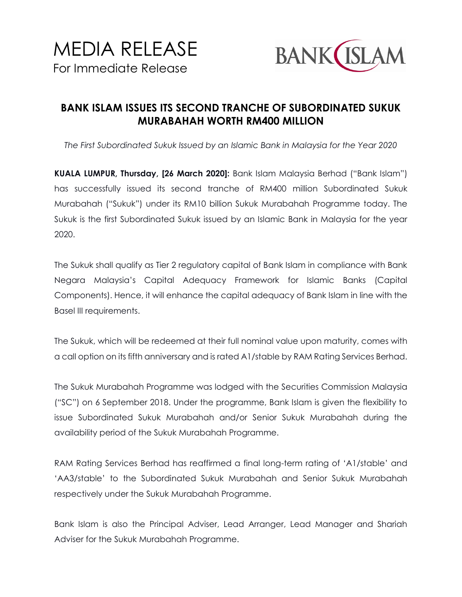

## **BANK ISLAM ISSUES ITS SECOND TRANCHE OF SUBORDINATED SUKUK MURABAHAH WORTH RM400 MILLION**

*The First Subordinated Sukuk Issued by an Islamic Bank in Malaysia for the Year 2020*

**KUALA LUMPUR, Thursday, [26 March 2020]:** Bank Islam Malaysia Berhad ("Bank Islam") has successfully issued its second tranche of RM400 million Subordinated Sukuk Murabahah ("Sukuk") under its RM10 billion Sukuk Murabahah Programme today. The Sukuk is the first Subordinated Sukuk issued by an Islamic Bank in Malaysia for the year 2020.

The Sukuk shall qualify as Tier 2 regulatory capital of Bank Islam in compliance with Bank Negara Malaysia's Capital Adequacy Framework for Islamic Banks (Capital Components). Hence, it will enhance the capital adequacy of Bank Islam in line with the Basel III requirements.

The Sukuk, which will be redeemed at their full nominal value upon maturity, comes with a call option on its fifth anniversary and is rated A1/stable by RAM Rating Services Berhad.

The Sukuk Murabahah Programme was lodged with the Securities Commission Malaysia ("SC") on 6 September 2018. Under the programme, Bank Islam is given the flexibility to issue Subordinated Sukuk Murabahah and/or Senior Sukuk Murabahah during the availability period of the Sukuk Murabahah Programme.

RAM Rating Services Berhad has reaffirmed a final long-term rating of 'A1/stable' and 'AA3/stable' to the Subordinated Sukuk Murabahah and Senior Sukuk Murabahah respectively under the Sukuk Murabahah Programme.

Bank Islam is also the Principal Adviser, Lead Arranger, Lead Manager and Shariah Adviser for the Sukuk Murabahah Programme.